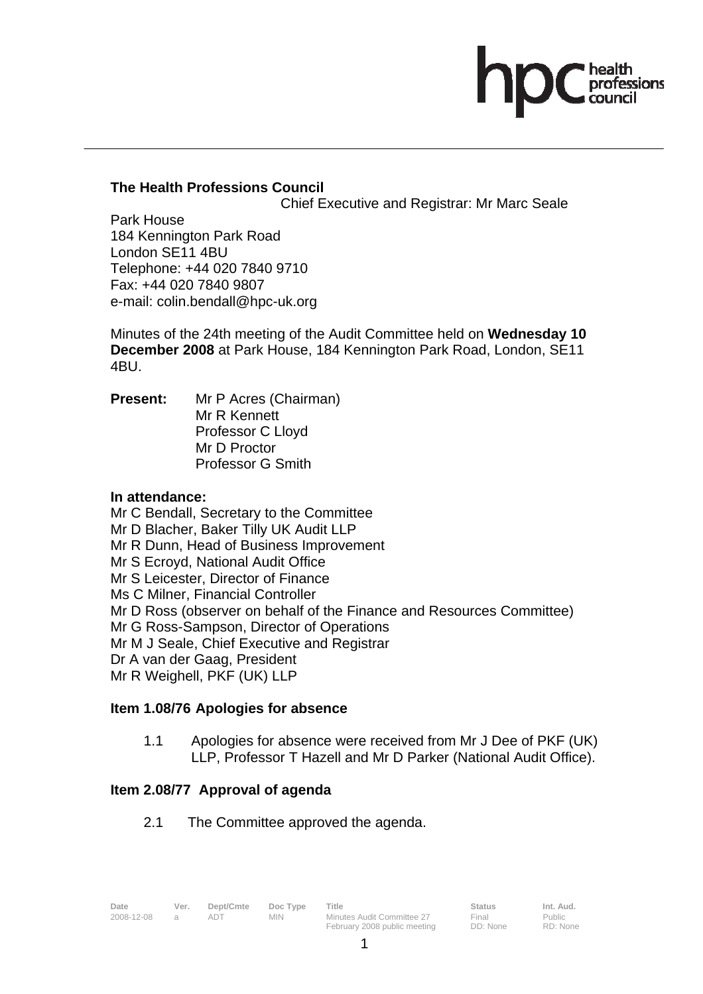# **The Health Professions Council**

Chief Executive and Registrar: Mr Marc Seale

Park House 184 Kennington Park Road London SE11 4BU Telephone: +44 020 7840 9710 Fax: +44 020 7840 9807 e-mail: colin.bendall@hpc-uk.org

Minutes of the 24th meeting of the Audit Committee held on **Wednesday 10 December 2008** at Park House, 184 Kennington Park Road, London, SE11 4BU.

**Present:** Mr P Acres (Chairman) Mr R Kennett Professor C Lloyd Mr D Proctor Professor G Smith

### **In attendance:**

Mr C Bendall, Secretary to the Committee Mr D Blacher, Baker Tilly UK Audit LLP Mr R Dunn, Head of Business Improvement Mr S Ecroyd, National Audit Office Mr S Leicester, Director of Finance Ms C Milner, Financial Controller Mr D Ross (observer on behalf of the Finance and Resources Committee) Mr G Ross-Sampson, Director of Operations Mr M J Seale, Chief Executive and Registrar Dr A van der Gaag, President Mr R Weighell, PKF (UK) LLP

### **Item 1.08/76 Apologies for absence**

1.1 Apologies for absence were received from Mr J Dee of PKF (UK) LLP, Professor T Hazell and Mr D Parker (National Audit Office).

### **Item 2.08/77 Approval of agenda**

2.1 The Committee approved the agenda.

Public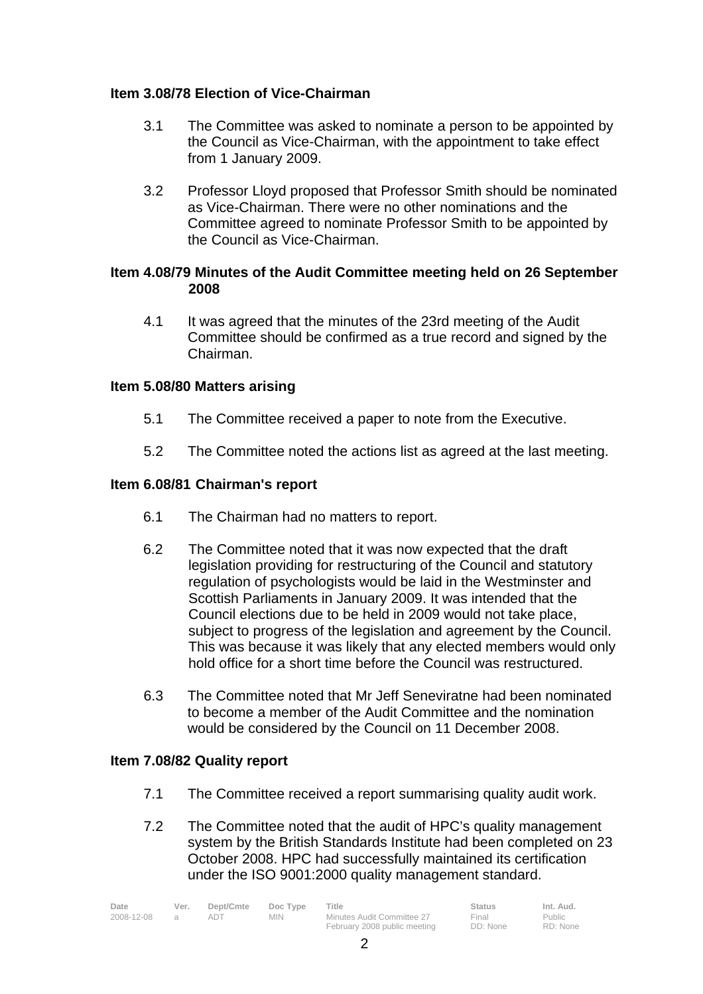# **Item 3.08/78 Election of Vice-Chairman**

- 3.1 The Committee was asked to nominate a person to be appointed by the Council as Vice-Chairman, with the appointment to take effect from 1 January 2009.
- 3.2 Professor Lloyd proposed that Professor Smith should be nominated as Vice-Chairman. There were no other nominations and the Committee agreed to nominate Professor Smith to be appointed by the Council as Vice-Chairman.

# **Item 4.08/79 Minutes of the Audit Committee meeting held on 26 September 2008**

 4.1 It was agreed that the minutes of the 23rd meeting of the Audit Committee should be confirmed as a true record and signed by the Chairman.

# **Item 5.08/80 Matters arising**

- 5.1 The Committee received a paper to note from the Executive.
- 5.2 The Committee noted the actions list as agreed at the last meeting.

# **Item 6.08/81 Chairman's report**

- 6.1 The Chairman had no matters to report.
- 6.2 The Committee noted that it was now expected that the draft legislation providing for restructuring of the Council and statutory regulation of psychologists would be laid in the Westminster and Scottish Parliaments in January 2009. It was intended that the Council elections due to be held in 2009 would not take place, subject to progress of the legislation and agreement by the Council. This was because it was likely that any elected members would only hold office for a short time before the Council was restructured.
- 6.3 The Committee noted that Mr Jeff Seneviratne had been nominated to become a member of the Audit Committee and the nomination would be considered by the Council on 11 December 2008.

### **Item 7.08/82 Quality report**

- 7.1 The Committee received a report summarising quality audit work.
- 7.2 The Committee noted that the audit of HPC's quality management system by the British Standards Institute had been completed on 23 October 2008. HPC had successfully maintained its certification under the ISO 9001:2000 quality management standard.

| Date       | Ver. | Dept/Cmte | Doc Type | Title                        | <b>Status</b> | Int. Aud. |
|------------|------|-----------|----------|------------------------------|---------------|-----------|
| 2008-12-08 |      |           | MIN.     | Minutes Audit Committee 27   | Final         | Public    |
|            |      |           |          | February 2008 public meeting | DD: None      | RD: None  |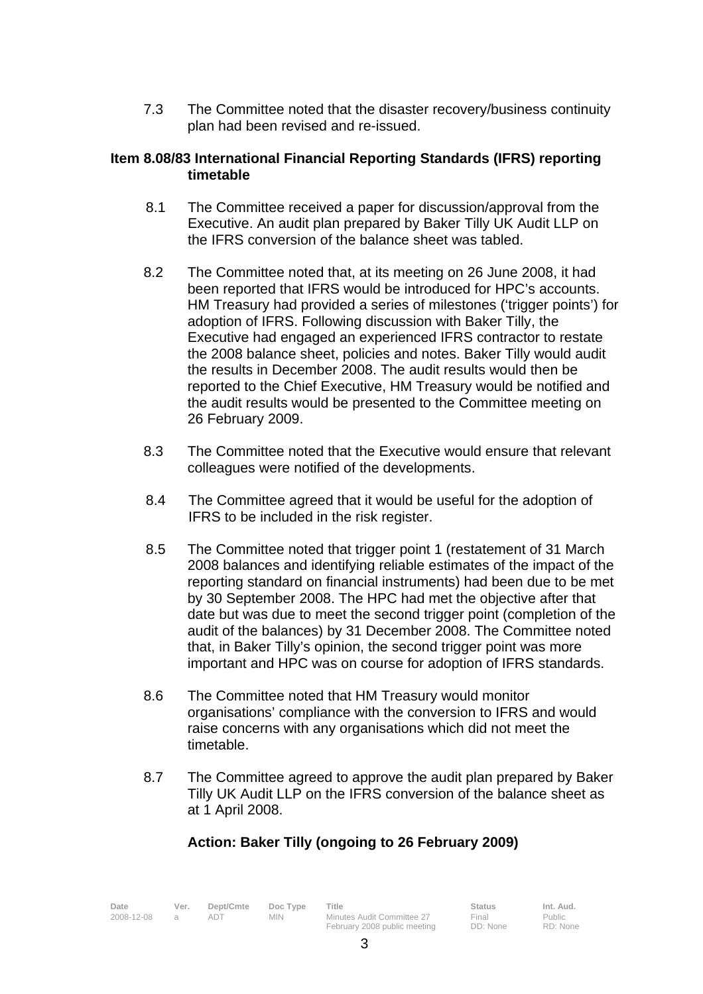7.3 The Committee noted that the disaster recovery/business continuity plan had been revised and re-issued.

#### **Item 8.08/83 International Financial Reporting Standards (IFRS) reporting timetable**

- 8.1 The Committee received a paper for discussion/approval from the Executive. An audit plan prepared by Baker Tilly UK Audit LLP on the IFRS conversion of the balance sheet was tabled.
- 8.2 The Committee noted that, at its meeting on 26 June 2008, it had been reported that IFRS would be introduced for HPC's accounts. HM Treasury had provided a series of milestones ('trigger points') for adoption of IFRS. Following discussion with Baker Tilly, the Executive had engaged an experienced IFRS contractor to restate the 2008 balance sheet, policies and notes. Baker Tilly would audit the results in December 2008. The audit results would then be reported to the Chief Executive, HM Treasury would be notified and the audit results would be presented to the Committee meeting on 26 February 2009.
- 8.3 The Committee noted that the Executive would ensure that relevant colleagues were notified of the developments.
- 8.4 The Committee agreed that it would be useful for the adoption of IFRS to be included in the risk register.
- 8.5 The Committee noted that trigger point 1 (restatement of 31 March 2008 balances and identifying reliable estimates of the impact of the reporting standard on financial instruments) had been due to be met by 30 September 2008. The HPC had met the objective after that date but was due to meet the second trigger point (completion of the audit of the balances) by 31 December 2008. The Committee noted that, in Baker Tilly's opinion, the second trigger point was more important and HPC was on course for adoption of IFRS standards.
- 8.6 The Committee noted that HM Treasury would monitor organisations' compliance with the conversion to IFRS and would raise concerns with any organisations which did not meet the timetable.
- 8.7 The Committee agreed to approve the audit plan prepared by Baker Tilly UK Audit LLP on the IFRS conversion of the balance sheet as at 1 April 2008.

# **Action: Baker Tilly (ongoing to 26 February 2009)**

| Date       | Ver. | Dept/Cmte Doc Type |            | Title                                 | <b>Status</b> | Int. Aud. |
|------------|------|--------------------|------------|---------------------------------------|---------------|-----------|
| 2008-12-08 |      |                    | <b>MIN</b> | Minutes Audit Committee 27            | Final         | Public    |
|            |      |                    |            | $\begin{array}{c} \hline \end{array}$ |               |           |

20 Audit Committee 27 February 2008 public meeting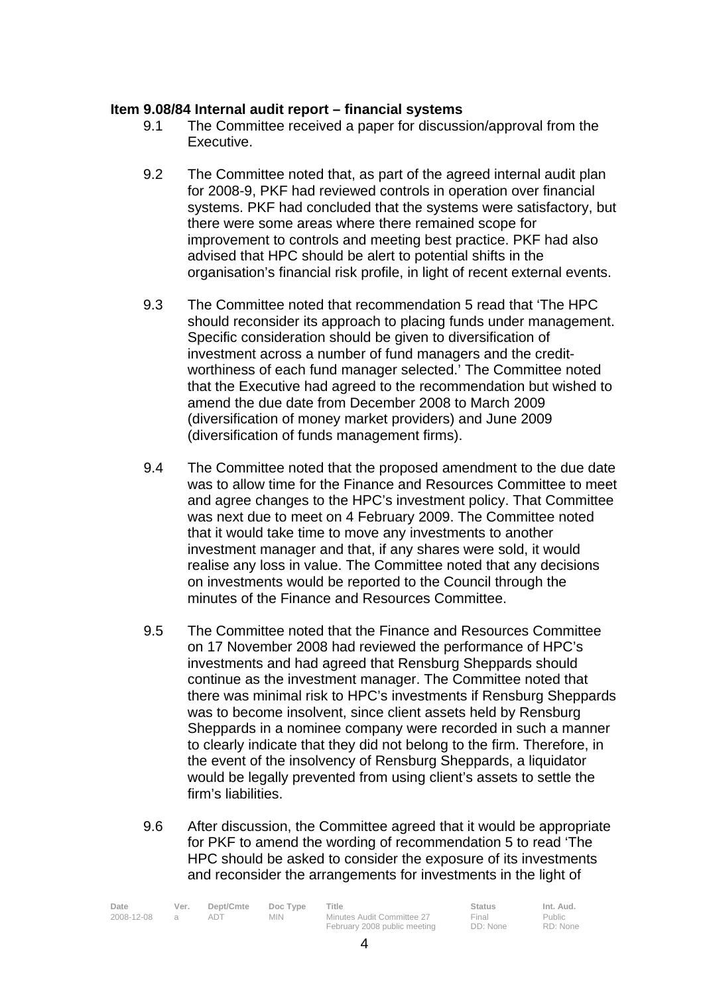### **Item 9.08/84 Internal audit report – financial systems**

- 9.1 The Committee received a paper for discussion/approval from the Executive.
- 9.2 The Committee noted that, as part of the agreed internal audit plan for 2008-9, PKF had reviewed controls in operation over financial systems. PKF had concluded that the systems were satisfactory, but there were some areas where there remained scope for improvement to controls and meeting best practice. PKF had also advised that HPC should be alert to potential shifts in the organisation's financial risk profile, in light of recent external events.
- 9.3 The Committee noted that recommendation 5 read that 'The HPC should reconsider its approach to placing funds under management. Specific consideration should be given to diversification of investment across a number of fund managers and the creditworthiness of each fund manager selected.' The Committee noted that the Executive had agreed to the recommendation but wished to amend the due date from December 2008 to March 2009 (diversification of money market providers) and June 2009 (diversification of funds management firms).
- 9.4 The Committee noted that the proposed amendment to the due date was to allow time for the Finance and Resources Committee to meet and agree changes to the HPC's investment policy. That Committee was next due to meet on 4 February 2009. The Committee noted that it would take time to move any investments to another investment manager and that, if any shares were sold, it would realise any loss in value. The Committee noted that any decisions on investments would be reported to the Council through the minutes of the Finance and Resources Committee.
- 9.5 The Committee noted that the Finance and Resources Committee on 17 November 2008 had reviewed the performance of HPC's investments and had agreed that Rensburg Sheppards should continue as the investment manager. The Committee noted that there was minimal risk to HPC's investments if Rensburg Sheppards was to become insolvent, since client assets held by Rensburg Sheppards in a nominee company were recorded in such a manner to clearly indicate that they did not belong to the firm. Therefore, in the event of the insolvency of Rensburg Sheppards, a liquidator would be legally prevented from using client's assets to settle the firm's liabilities.
- 9.6 After discussion, the Committee agreed that it would be appropriate for PKF to amend the wording of recommendation 5 to read 'The HPC should be asked to consider the exposure of its investments and reconsider the arrangements for investments in the light of

| Date       | Ver. | Dept/Cmte | Doc Type   | <b>Title</b>                 | Status   | Int. Aud. |
|------------|------|-----------|------------|------------------------------|----------|-----------|
| 2008-12-08 |      |           | <b>MIN</b> | Minutes Audit Committee 27   | Final    | Public    |
|            |      |           |            | February 2008 public meeting | DD: None | RD: None  |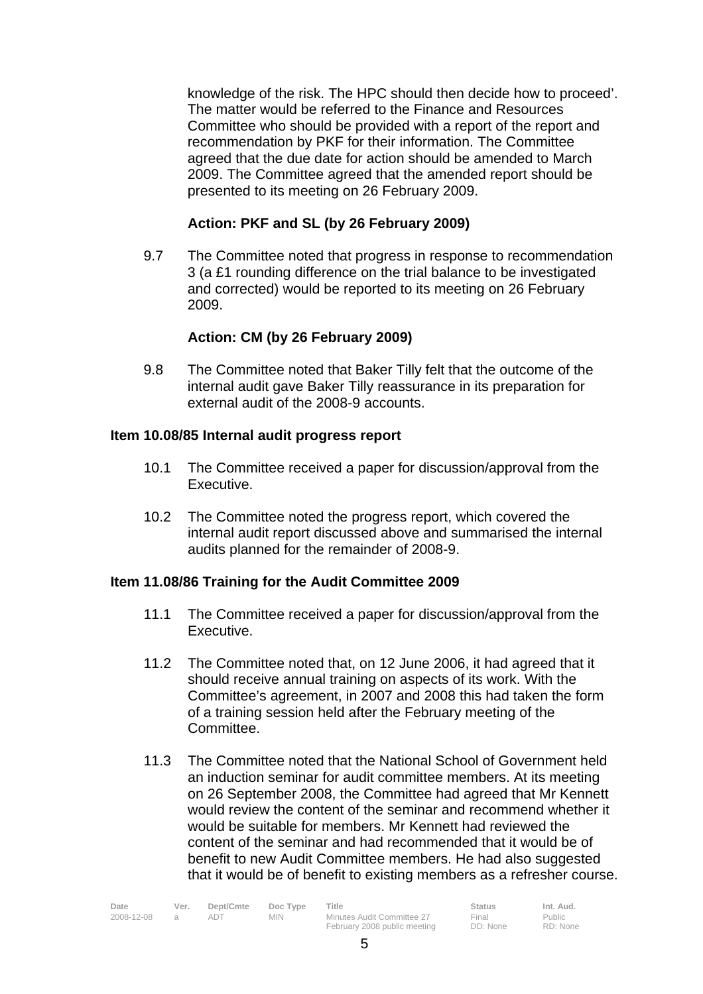knowledge of the risk. The HPC should then decide how to proceed'. The matter would be referred to the Finance and Resources Committee who should be provided with a report of the report and recommendation by PKF for their information. The Committee agreed that the due date for action should be amended to March 2009. The Committee agreed that the amended report should be presented to its meeting on 26 February 2009.

# **Action: PKF and SL (by 26 February 2009)**

 9.7 The Committee noted that progress in response to recommendation 3 (a £1 rounding difference on the trial balance to be investigated and corrected) would be reported to its meeting on 26 February 2009.

# **Action: CM (by 26 February 2009)**

 9.8 The Committee noted that Baker Tilly felt that the outcome of the internal audit gave Baker Tilly reassurance in its preparation for external audit of the 2008-9 accounts.

### **Item 10.08/85 Internal audit progress report**

- 10.1 The Committee received a paper for discussion/approval from the Executive.
- 10.2 The Committee noted the progress report, which covered the internal audit report discussed above and summarised the internal audits planned for the remainder of 2008-9.

### **Item 11.08/86 Training for the Audit Committee 2009**

- 11.1 The Committee received a paper for discussion/approval from the Executive.
- 11.2 The Committee noted that, on 12 June 2006, it had agreed that it should receive annual training on aspects of its work. With the Committee's agreement, in 2007 and 2008 this had taken the form of a training session held after the February meeting of the Committee.
- 11.3 The Committee noted that the National School of Government held an induction seminar for audit committee members. At its meeting on 26 September 2008, the Committee had agreed that Mr Kennett would review the content of the seminar and recommend whether it would be suitable for members. Mr Kennett had reviewed the content of the seminar and had recommended that it would be of benefit to new Audit Committee members. He had also suggested that it would be of benefit to existing members as a refresher course.

| Date       | Ver. | Dept/Cmte | Doc Type | Title                        | <b>Status</b> | Int. Aud. |
|------------|------|-----------|----------|------------------------------|---------------|-----------|
| 2008-12-08 |      |           | MIN.     | Minutes Audit Committee 27   | Final         | Public    |
|            |      |           |          | February 2008 public meeting | DD: None      | RD: None  |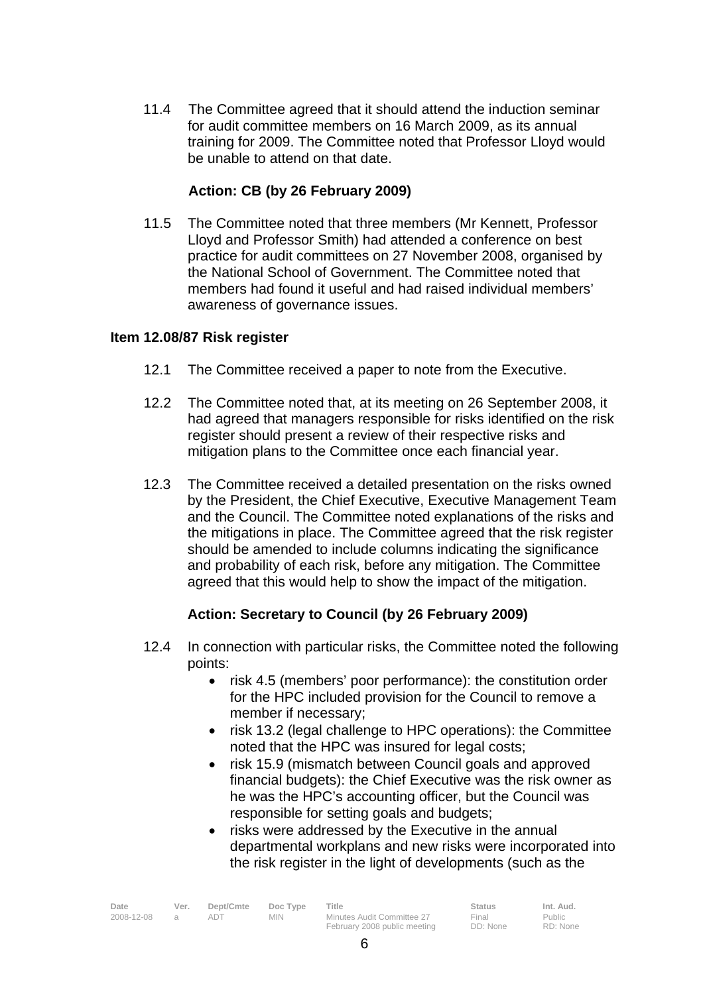11.4 The Committee agreed that it should attend the induction seminar for audit committee members on 16 March 2009, as its annual training for 2009. The Committee noted that Professor Lloyd would be unable to attend on that date.

# **Action: CB (by 26 February 2009)**

11.5 The Committee noted that three members (Mr Kennett, Professor Lloyd and Professor Smith) had attended a conference on best practice for audit committees on 27 November 2008, organised by the National School of Government. The Committee noted that members had found it useful and had raised individual members' awareness of governance issues.

# **Item 12.08/87 Risk register**

- 12.1 The Committee received a paper to note from the Executive.
- 12.2 The Committee noted that, at its meeting on 26 September 2008, it had agreed that managers responsible for risks identified on the risk register should present a review of their respective risks and mitigation plans to the Committee once each financial year.
- 12.3 The Committee received a detailed presentation on the risks owned by the President, the Chief Executive, Executive Management Team and the Council. The Committee noted explanations of the risks and the mitigations in place. The Committee agreed that the risk register should be amended to include columns indicating the significance and probability of each risk, before any mitigation. The Committee agreed that this would help to show the impact of the mitigation.

# **Action: Secretary to Council (by 26 February 2009)**

- 12.4 In connection with particular risks, the Committee noted the following points:
	- risk 4.5 (members' poor performance): the constitution order for the HPC included provision for the Council to remove a member if necessary;
	- risk 13.2 (legal challenge to HPC operations): the Committee noted that the HPC was insured for legal costs;
	- risk 15.9 (mismatch between Council goals and approved financial budgets): the Chief Executive was the risk owner as he was the HPC's accounting officer, but the Council was responsible for setting goals and budgets;
	- risks were addressed by the Executive in the annual departmental workplans and new risks were incorporated into the risk register in the light of developments (such as the

| Date       | Ver. | Dept/Cmte | Doc Type   | Title                        | Status   | Int. Aud. |
|------------|------|-----------|------------|------------------------------|----------|-----------|
| 2008-12-08 |      |           | <b>MIN</b> | Minutes Audit Committee 27   | Final    | Public    |
|            |      |           |            | February 2008 public meeting | DD: None | RD: None  |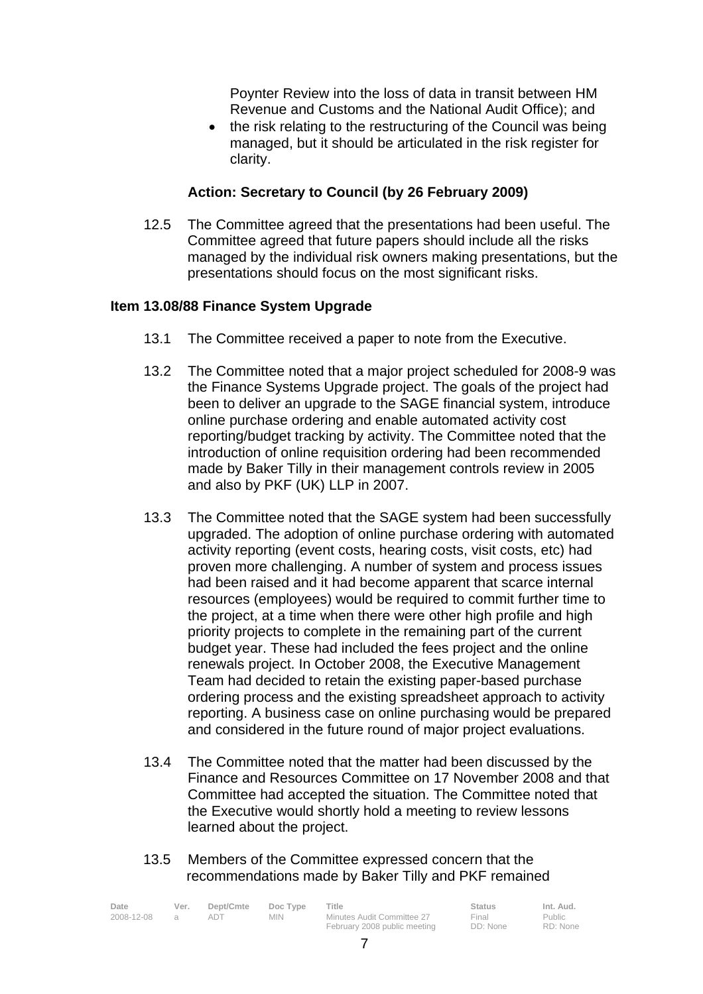Poynter Review into the loss of data in transit between HM Revenue and Customs and the National Audit Office); and

• the risk relating to the restructuring of the Council was being managed, but it should be articulated in the risk register for clarity.

# **Action: Secretary to Council (by 26 February 2009)**

 12.5 The Committee agreed that the presentations had been useful. The Committee agreed that future papers should include all the risks managed by the individual risk owners making presentations, but the presentations should focus on the most significant risks.

### **Item 13.08/88 Finance System Upgrade**

- 13.1 The Committee received a paper to note from the Executive.
- 13.2 The Committee noted that a major project scheduled for 2008-9 was the Finance Systems Upgrade project. The goals of the project had been to deliver an upgrade to the SAGE financial system, introduce online purchase ordering and enable automated activity cost reporting/budget tracking by activity. The Committee noted that the introduction of online requisition ordering had been recommended made by Baker Tilly in their management controls review in 2005 and also by PKF (UK) LLP in 2007.
- 13.3 The Committee noted that the SAGE system had been successfully upgraded. The adoption of online purchase ordering with automated activity reporting (event costs, hearing costs, visit costs, etc) had proven more challenging. A number of system and process issues had been raised and it had become apparent that scarce internal resources (employees) would be required to commit further time to the project, at a time when there were other high profile and high priority projects to complete in the remaining part of the current budget year. These had included the fees project and the online renewals project. In October 2008, the Executive Management Team had decided to retain the existing paper-based purchase ordering process and the existing spreadsheet approach to activity reporting. A business case on online purchasing would be prepared and considered in the future round of major project evaluations.
- 13.4 The Committee noted that the matter had been discussed by the Finance and Resources Committee on 17 November 2008 and that Committee had accepted the situation. The Committee noted that the Executive would shortly hold a meeting to review lessons learned about the project.
- 13.5 Members of the Committee expressed concern that the recommendations made by Baker Tilly and PKF remained

| Date       | Ver. | Dept/Cmte | Doc Type | Title                        | <b>Status</b> | Int. Aud. |
|------------|------|-----------|----------|------------------------------|---------------|-----------|
| 2008-12-08 |      |           | MIN.     | Minutes Audit Committee 27   | Final         | Public    |
|            |      |           |          | February 2008 public meeting | DD: None      | RD: None  |